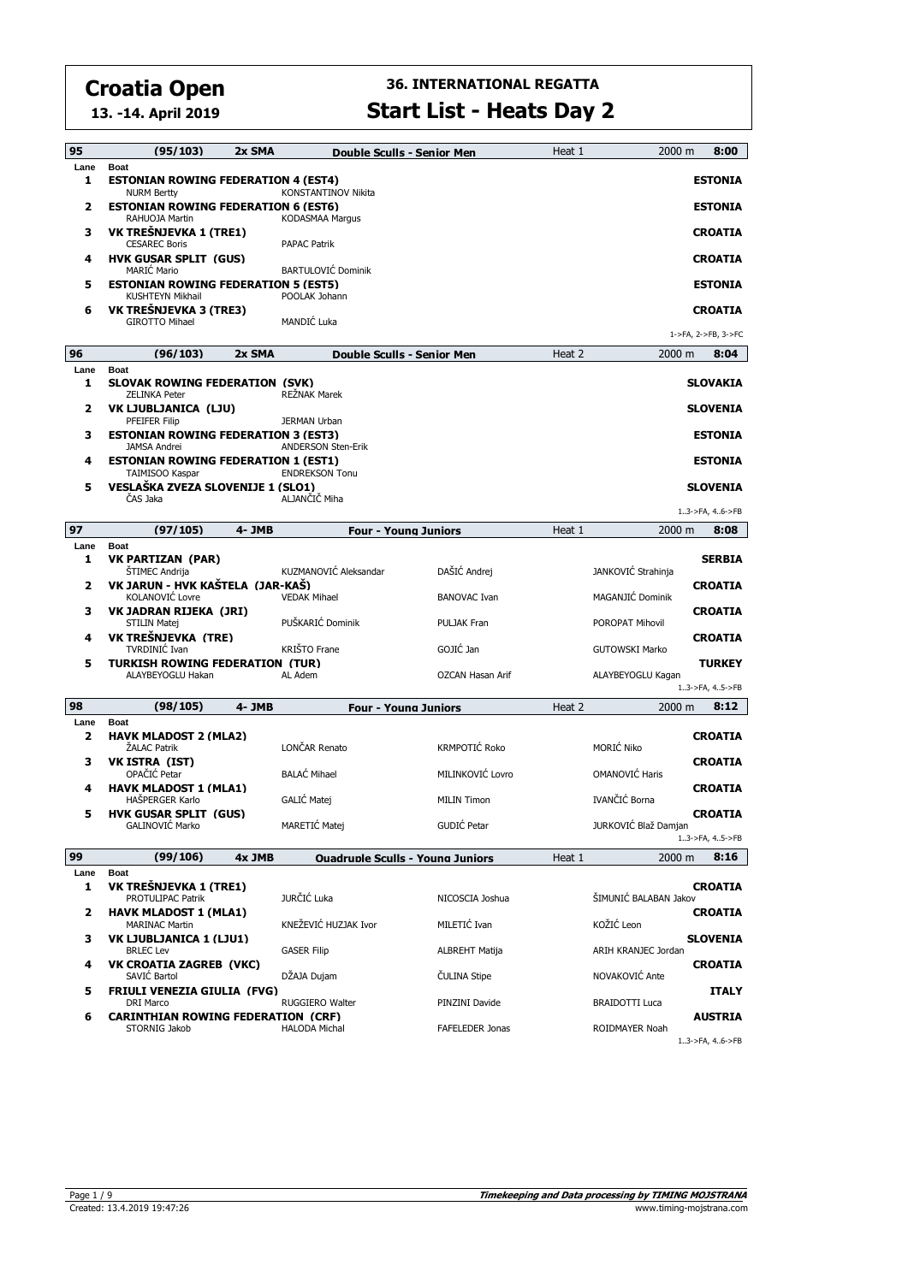**13. -14. April 2019**

| 95           | (95/103)                                                                           | 2x SMA | Double Sculls - Senior Men                    |                                     | Heat 1 | 2000 m                                 | 8:00                             |
|--------------|------------------------------------------------------------------------------------|--------|-----------------------------------------------|-------------------------------------|--------|----------------------------------------|----------------------------------|
| Lane<br>1    | <b>Boat</b><br><b>ESTONIAN ROWING FEDERATION 4 (EST4)</b>                          |        |                                               |                                     |        |                                        | <b>ESTONIA</b>                   |
| 2            | <b>NURM Bertty</b><br><b>ESTONIAN ROWING FEDERATION 6 (EST6)</b><br>RAHUOJA Martin |        | <b>KONSTANTINOV Nikita</b><br>KODASMAA Margus |                                     |        |                                        | <b>ESTONIA</b>                   |
| з            | VK TREŠNJEVKA 1 (TRE1)<br><b>CESAREC Boris</b>                                     |        | <b>PAPAC Patrik</b>                           |                                     |        |                                        | <b>CROATIA</b>                   |
| 4            | <b>HVK GUSAR SPLIT (GUS)</b><br><b>MARIĆ Mario</b>                                 |        | <b>BARTULOVIĆ Dominik</b>                     |                                     |        |                                        | <b>CROATIA</b>                   |
| 5            | <b>ESTONIAN ROWING FEDERATION 5 (EST5)</b><br><b>KUSHTEYN Mikhail</b>              |        | POOLAK Johann                                 |                                     |        |                                        | <b>ESTONIA</b>                   |
| 6            | VK TREŠNJEVKA 3 (TRE3)<br><b>GIROTTO Mihael</b>                                    |        | MANDIĆ Luka                                   |                                     |        |                                        | <b>CROATIA</b>                   |
| 96           | (96/103)                                                                           |        |                                               |                                     |        |                                        | 1->FA, 2->FB, 3->FC              |
|              |                                                                                    | 2x SMA | Double Sculls - Senior Men                    |                                     | Heat 2 | 2000 m                                 | 8:04                             |
| Lane<br>1    | <b>Boat</b><br><b>SLOVAK ROWING FEDERATION (SVK)</b><br><b>ZELINKA Peter</b>       |        | <b>REŻNAK Marek</b>                           |                                     |        |                                        | <b>SLOVAKIA</b>                  |
| $\mathbf{z}$ | VK LJUBLJANICA (LJU)<br><b>PFEIFER Filip</b>                                       |        | <b>JERMAN Urban</b>                           |                                     |        |                                        | <b>SLOVENIA</b>                  |
| з            | <b>ESTONIAN ROWING FEDERATION 3 (EST3)</b><br><b>JAMSA Andrei</b>                  |        | <b>ANDERSON Sten-Erik</b>                     |                                     |        |                                        | <b>ESTONIA</b>                   |
| 4            | <b>ESTONIAN ROWING FEDERATION 1 (EST1)</b><br>TAIMISOO Kaspar                      |        | <b>ENDREKSON Tonu</b>                         |                                     |        |                                        | <b>ESTONIA</b>                   |
| 5            | VESLAŠKA ZVEZA SLOVENIJE 1 (SLO1)<br>ČAS Jaka                                      |        | ALJANČIČ Miha                                 |                                     |        |                                        | <b>SLOVENIA</b>                  |
|              |                                                                                    |        |                                               |                                     |        |                                        | 13->FA, 46->FB                   |
| 97           | (97/105)                                                                           | 4- JMB | <b>Four - Young Juniors</b>                   |                                     | Heat 1 | 2000 m                                 | 8:08                             |
| Lane<br>1    | <b>Boat</b><br><b>VK PARTIZAN (PAR)</b>                                            |        |                                               |                                     |        |                                        | <b>SERBIA</b>                    |
| 2            | <b>STIMEC Andrija</b><br>VK JARUN - HVK KAŠTELA (JAR-KAŠ)<br>KOLANOVIĆ Lovre       |        | KUZMANOVIĆ Aleksandar<br><b>VEDAK Mihael</b>  | DAŠIĆ Andrej<br><b>BANOVAC Ivan</b> |        | JANKOVIĆ Strahinja<br>MAGANJIĆ Dominik | <b>CROATIA</b>                   |
| з            | VK JADRAN RIJEKA (JRI)<br>STILIN Matej                                             |        | PUŠKARIĆ Dominik                              | <b>PULJAK Fran</b>                  |        | POROPAT Mihovil                        | <b>CROATIA</b>                   |
| 4            | VK TREŠNJEVKA (TRE)<br><b>TVRDINIĆ Ivan</b>                                        |        | <b>KRIŠTO Frane</b>                           | GOJIĆ Jan                           |        | <b>GUTOWSKI Marko</b>                  | <b>CROATIA</b>                   |
| 5            | <b>TURKISH ROWING FEDERATION (TUR)</b>                                             |        |                                               |                                     |        |                                        | <b>TURKEY</b>                    |
|              | ALAYBEYOGLU Hakan                                                                  |        | AL Adem                                       | OZCAN Hasan Arif                    |        | ALAYBEYOGLU Kagan                      | 13->FA, 45->FB                   |
| 98           | (98/105)                                                                           | 4- JMB | <b>Four - Young Juniors</b>                   |                                     | Heat 2 | 2000 m                                 | 8:12                             |
| Lane         | <b>Boat</b>                                                                        |        |                                               |                                     |        |                                        |                                  |
| 2            | <b>HAVK MLADOST 2 (MLA2)</b><br><b>ŻALAC Patrik</b>                                |        | LONČAR Renato                                 | KRMPOTIĆ Roko                       |        | MORIĆ Niko                             | <b>CROATIA</b>                   |
| з            | <b>VK ISTRA (IST)</b><br>OPAČIĆ Petar                                              |        | <b>BALAC Mihael</b>                           | MILINKOVIĆ Lovro                    |        | <b>OMANOVIĆ Haris</b>                  | <b>CROATIA</b>                   |
| 4            | <b>HAVK MLADOST 1 (MLA1)</b><br>HASPERGER Karlo                                    |        | GALIĆ Matej                                   | <b>MILIN Timon</b>                  |        | IVANČIĆ Borna                          | <b>CROATIA</b>                   |
| 5            | <b>HVK GUSAR SPLIT (GUS)</b><br>GALINOVIC Marko                                    |        | MARETIĆ Matej                                 | GUDIĆ Petar                         |        | JURKOVIĆ Blaž Damjan                   | <b>CROATIA</b><br>13->FA, 45->FB |
| 99           | (99/106)                                                                           | 4x JMB |                                               |                                     | Heat 1 | 2000 m                                 | 8:16                             |
| Lane         | <b>Boat</b>                                                                        |        | <b>Ouadruple Sculls - Young Juniors</b>       |                                     |        |                                        |                                  |
| 1            | VK TREŠNJEVKA 1 (TRE1)<br><b>PROTULIPAC Patrik</b>                                 |        | JURČIĆ Luka                                   | NICOSCIA Joshua                     |        | ŠIMUNIĆ BALABAN Jakov                  | <b>CROATIA</b>                   |
| 2            | <b>HAVK MLADOST 1 (MLA1)</b><br><b>MARINAC Martin</b>                              |        | KNEŽEVIĆ HUZJAK Ivor                          | MILETIĆ Ivan                        |        | KOŽIĆ Leon                             | <b>CROATIA</b>                   |
| з            | VK LJUBLJANICA 1 (LJU1)<br><b>BRLEC</b> Lev                                        |        | <b>GASER Filip</b>                            | ALBREHT Matija                      |        | ARIH KRANJEC Jordan                    | <b>SLOVENIA</b>                  |
| 4            | <b>VK CROATIA ZAGREB (VKC)</b><br>SAVIĆ Bartol                                     |        | DŽAJA Dujam                                   | ČULINA Stipe                        |        | NOVAKOVIĆ Ante                         | <b>CROATIA</b>                   |
| 5            | <b>FRIULI VENEZIA GIULIA (FVG)</b><br><b>DRI Marco</b>                             |        | RUGGIERO Walter                               | PINZINI Davide                      |        | <b>BRAIDOTTI Luca</b>                  | <b>ITALY</b>                     |
| 6            | <b>CARINTHIAN ROWING FEDERATION (CRF)</b><br>STORNIG Jakob                         |        | <b>HALODA Michal</b>                          | <b>FAFELEDER Jonas</b>              |        | ROIDMAYER Noah                         | <b>AUSTRIA</b>                   |
|              |                                                                                    |        |                                               |                                     |        |                                        | $13$ ->FA, $46$ ->FB             |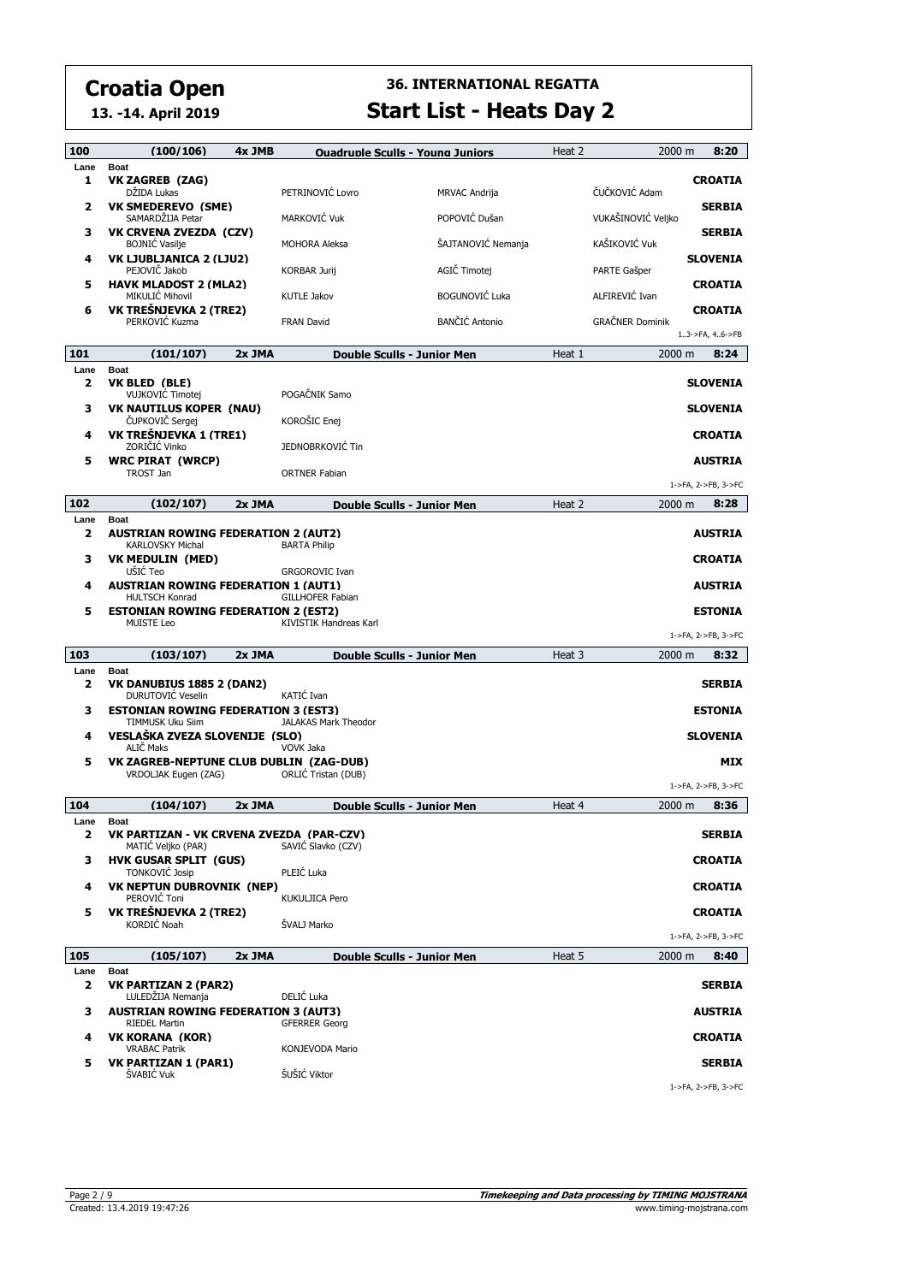**13. -14. April 2019**

| 100                             | (100/106)                                                                               | 4x JMB   |                                    | <b>Ouadruple Sculls - Young Juniors</b> | Heat 2 | 2000 m             | 8:20                |
|---------------------------------|-----------------------------------------------------------------------------------------|----------|------------------------------------|-----------------------------------------|--------|--------------------|---------------------|
| Lane                            | <b>Boat</b>                                                                             |          |                                    |                                         |        |                    |                     |
| 1                               | VK ZAGREB (ZAG)<br>DŽIDA Lukas                                                          |          | PETRINOVIĆ Lovro                   | MRVAC Andrija                           |        | ČUČKOVIĆ Adam      | <b>CROATIA</b>      |
| $\mathbf{z}$                    | <b>VK SMEDEREVO (SME)</b><br>SAMARDŽIJA Petar                                           |          | MARKOVIĆ Vuk                       | POPOVIĆ Dušan                           |        | VUKAŠINOVIĆ Veljko | <b>SERBIA</b>       |
| з                               | <b>VK CRVENA ZVEZDA (CZV)</b><br><b>BOJNIC Vasilje</b>                                  |          | <b>MOHORA Aleksa</b>               | ŠAJTANOVIĆ Nemanja                      |        | KAŠIKOVIĆ Vuk      | <b>SERBIA</b>       |
| 4                               | VK LJUBLJANICA 2 (LJU2)<br>PEJOVIČ Jakob                                                |          | <b>KORBAR Jurij</b>                | AGIČ Timotej                            |        | PARTE Gašper       | <b>SLOVENIA</b>     |
| 5                               | <b>HAVK MLADOST 2 (MLA2)</b><br>MIKULIĆ Mihovil                                         |          | <b>KUTLE Jakov</b>                 | <b>BOGUNOVIĆ Luka</b>                   |        | ALFIREVIĆ Ivan     | <b>CROATIA</b>      |
| 6                               | VK TREŠNJEVKA 2 (TRE2)<br>PERKOVIĆ Kuzma                                                |          | <b>FRAN David</b>                  | <b>BANČIĆ Antonio</b>                   |        | GRAČNER Dominik    | <b>CROATIA</b>      |
|                                 |                                                                                         |          |                                    |                                         |        |                    | 13->FA, 46->FB      |
| 101                             | (101/107)                                                                               | $2x$ JMA |                                    | Double Sculls - Junior Men              | Heat 1 | 2000 m             | 8:24                |
| Lane<br>$\mathbf{z}$            | <b>Boat</b><br>VK BLED (BLE)<br>VUJKOVIĆ Timotej                                        |          | POGAČNIK Samo                      |                                         |        |                    | <b>SLOVENIA</b>     |
| 3                               | <b>VK NAUTILUS KOPER (NAU)</b><br>ČUPKOVIČ Sergej                                       |          | KOROŠIC Enej                       |                                         |        |                    | <b>SLOVENIA</b>     |
| 4                               | VK TREŠNJEVKA 1 (TRE1)<br>ZORIČIĆ Vinko                                                 |          | JEDNOBRKOVIĆ Tin                   |                                         |        |                    | <b>CROATIA</b>      |
| 5                               | <b>WRC PIRAT (WRCP)</b><br>TROST Jan                                                    |          | <b>ORTNER Fabian</b>               |                                         |        |                    | <b>AUSTRIA</b>      |
|                                 |                                                                                         |          |                                    |                                         |        |                    | 1->FA, 2->FB, 3->FC |
| 102                             | (102/107)                                                                               | 2x JMA   |                                    | Double Sculls - Junior Men              | Heat 2 | 2000 m             | 8:28                |
| Lane<br>$\mathbf{z}$            | <b>Boat</b><br><b>AUSTRIAN ROWING FEDERATION 2 (AUT2)</b><br><b>KARLOVSKY Michal</b>    |          | <b>BARTA Philip</b>                |                                         |        |                    | <b>AUSTRIA</b>      |
| з                               | <b>VK MEDULIN (MED)</b><br>UŠIĆ Teo                                                     |          | <b>GRGOROVIC Ivan</b>              |                                         |        |                    | <b>CROATIA</b>      |
| 4                               | <b>AUSTRIAN ROWING FEDERATION 1 (AUT1)</b><br><b>HULTSCH Konrad</b>                     |          | GILLHOFER Fabian                   |                                         |        |                    | <b>AUSTRIA</b>      |
| 5                               | <b>ESTONIAN ROWING FEDERATION 2 (EST2)</b><br><b>MUISTE Leo</b>                         |          | KIVISTIK Handreas Karl             |                                         |        |                    | <b>ESTONIA</b>      |
|                                 |                                                                                         |          |                                    |                                         |        |                    | 1->FA, 2->FB, 3->FC |
| 103                             | (103/107)                                                                               | 2x JMA   |                                    | Double Sculls - Junior Men              | Heat 3 | 2000 m             | 8:32                |
| Lane<br>$\overline{\mathbf{2}}$ | <b>Boat</b><br>VK DANUBIUS 1885 2 (DAN2)<br>DURUTOVIC Veselin                           |          | KATIĆ Ivan                         |                                         |        |                    | <b>SERBIA</b>       |
| з                               | <b>ESTONIAN ROWING FEDERATION 3 (EST3)</b><br>TIMMUSK Uku Siim                          |          | JALAKAS Mark Theodor               |                                         |        |                    | <b>ESTONIA</b>      |
| 4                               | VESLAŠKA ZVEZA SLOVENIJE (SLO)<br>ALIČ Maks                                             |          | <b>VOVK Jaka</b>                   |                                         |        |                    | <b>SLOVENIA</b>     |
| 5                               | VK ZAGREB-NEPTUNE CLUB DUBLIN (ZAG-DUB)<br>VRDOLJAK Eugen (ZAG)                         |          | ORLIĆ Tristan (DUB)                |                                         |        |                    | MIX                 |
|                                 |                                                                                         |          |                                    |                                         |        |                    | 1->FA, 2->FB, 3->FC |
| 104                             | (104/107)                                                                               | 2x JMA   |                                    | <b>Double Sculls - Junior Men</b>       | Heat 4 | 2000 m             | 8:36                |
| Lane<br>2                       | <b>Boat</b><br>VK PARTIZAN - VK CRVENA ZVEZDA (PAR-CZV)                                 |          |                                    |                                         |        |                    | <b>SERBIA</b>       |
| з                               | MATIĆ Veljko (PAR)<br><b>HVK GUSAR SPLIT (GUS)</b><br>TONKOVIĆ Josip                    |          | SAVIĆ Slavko (CZV)<br>PLEIĆ Luka   |                                         |        |                    | <b>CROATIA</b>      |
| 4                               | <b>VK NEPTUN DUBROVNIK (NEP)</b><br>PEROVIĆ Toni                                        |          | KUKULJICA Pero                     |                                         |        |                    | <b>CROATIA</b>      |
| 5                               | VK TREŠNJEVKA 2 (TRE2)<br>KORDIĆ Noah                                                   |          | ŠVALJ Marko                        |                                         |        |                    | <b>CROATIA</b>      |
|                                 |                                                                                         |          |                                    |                                         |        |                    | 1->FA, 2->FB, 3->FC |
| 105                             | (105/107)                                                                               | 2x JMA   |                                    | Double Sculls - Junior Men              | Heat 5 | 2000 m             | 8:40                |
| Lane<br>2                       | <b>Boat</b><br><b>VK PARTIZAN 2 (PAR2)</b>                                              |          |                                    |                                         |        |                    | <b>SERBIA</b>       |
| з                               | LULEDŽIJA Nemanja<br><b>AUSTRIAN ROWING FEDERATION 3 (AUT3)</b><br><b>RIEDEL Martin</b> |          | DELIĆ Luka<br><b>GFERRER Georg</b> |                                         |        |                    | <b>AUSTRIA</b>      |
| 4                               | <b>VK KORANA (KOR)</b><br><b>VRABAC Patrik</b>                                          |          | KONJEVODA Mario                    |                                         |        |                    | <b>CROATIA</b>      |
| 5                               | <b>VK PARTIZAN 1 (PAR1)</b>                                                             |          |                                    |                                         |        |                    | <b>SERBIA</b>       |
|                                 | ŠVABIĆ Vuk                                                                              |          | ŠUŠIĆ Viktor                       |                                         |        |                    | 1->FA, 2->FB, 3->FC |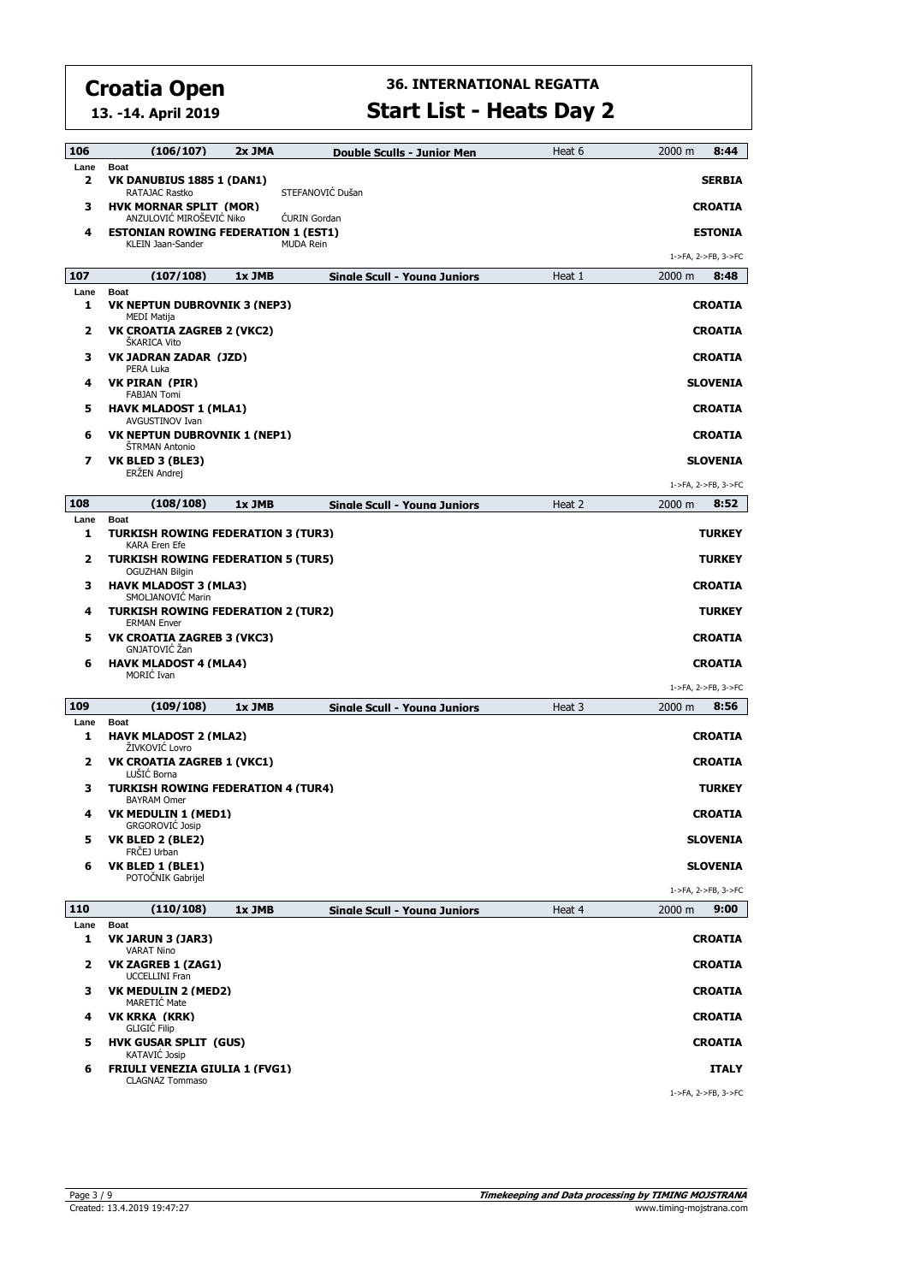**13. -14. April 2019**

| 106       | (106/107)                                                                        | 2x JMA | Double Sculls - Junior Men          | Heat 6 | 2000 m<br>8:44      |
|-----------|----------------------------------------------------------------------------------|--------|-------------------------------------|--------|---------------------|
| Lane<br>2 | <b>Boat</b><br>VK DANUBIUS 1885 1 (DAN1)                                         |        |                                     |        | <b>SERBIA</b>       |
| з         | RATAJAC Rastko<br><b>HVK MORNAR SPLIT (MOR)</b>                                  |        | STEFANOVIĆ Dušan                    |        | <b>CROATIA</b>      |
| 4         | ANZULOVIĆ MIROŠEVIĆ Niko<br><b>ESTONIAN ROWING FEDERATION 1 (EST1)</b>           |        | <b>CURIN</b> Gordan                 |        | <b>ESTONIA</b>      |
|           | KLEIN Jaan-Sander                                                                |        | <b>MUDA Rein</b>                    |        | 1->FA, 2->FB, 3->FC |
| 107       | (107/108)                                                                        | 1x JMB | <b>Single Scull - Young Juniors</b> | Heat 1 | 2000 m<br>8:48      |
| Lane<br>1 | <b>Boat</b><br><b>VK NEPTUN DUBROVNIK 3 (NEP3)</b>                               |        |                                     |        | <b>CROATIA</b>      |
| 2         | MEDI Matija<br>VK CROATIA ZAGREB 2 (VKC2)<br><b>SKARICA Vito</b>                 |        |                                     |        | <b>CROATIA</b>      |
| з         | VK JADRAN ZADAR (JZD)<br>PERA Luka                                               |        |                                     |        | <b>CROATIA</b>      |
| 4         | VK PIRAN (PIR)<br><b>FABJAN Tomi</b>                                             |        |                                     |        | <b>SLOVENIA</b>     |
| 5         | <b>HAVK MLADOST 1 (MLA1)</b><br><b>AVGUSTINOV Ivan</b>                           |        |                                     |        | <b>CROATIA</b>      |
| 6         | VK NEPTUN DUBROVNIK 1 (NEP1)<br><b>STRMAN Antonio</b>                            |        |                                     |        | <b>CROATIA</b>      |
| 7         | VK BLED 3 (BLE3)<br>ERŻEN Andrej                                                 |        |                                     |        | <b>SLOVENIA</b>     |
|           |                                                                                  |        |                                     |        | 1->FA, 2->FB, 3->FC |
| 108       | (108/108)                                                                        | 1x JMB | Sinale Scull - Youna Juniors        | Heat 2 | 8:52<br>2000 m      |
| Lane<br>1 | <b>Boat</b><br><b>TURKISH ROWING FEDERATION 3 (TUR3)</b><br><b>KARA Eren Efe</b> |        |                                     |        | <b>TURKEY</b>       |
| 2         | <b>TURKISH ROWING FEDERATION 5 (TUR5)</b><br><b>OGUZHAN Bilgin</b>               |        |                                     |        | <b>TURKEY</b>       |
| з         | <b>HAVK MLADOST 3 (MLA3)</b><br>SMOLJANOVIĆ Marin                                |        |                                     |        | <b>CROATIA</b>      |
| 4         | <b>TURKISH ROWING FEDERATION 2 (TUR2)</b><br><b>ERMAN Enver</b>                  |        |                                     |        | <b>TURKEY</b>       |
| 5         | <b>VK CROATIA ZAGREB 3 (VKC3)</b><br>GNJATOVIĆ Žan                               |        |                                     |        | <b>CROATIA</b>      |
| 6         | <b>HAVK MLADOST 4 (MLA4)</b><br>MORIC Ivan                                       |        |                                     |        | <b>CROATIA</b>      |
|           |                                                                                  |        |                                     |        | 1->FA, 2->FB, 3->FC |
| 109       | (109/108)                                                                        | 1x JMB | <b>Single Scull - Young Juniors</b> | Heat 3 | 2000 m<br>8:56      |
| Lane<br>1 | <b>Boat</b><br><b>HAVK MLADOST 2 (MLA2)</b><br>ŽIVKOVIĆ Lovro                    |        |                                     |        | <b>CROATIA</b>      |
| 2         | <b>VK CROATIA ZAGREB 1 (VKC1)</b><br>LUŠIĆ Borna                                 |        |                                     |        | <b>CROATIA</b>      |
| з         | <b>TURKISH ROWING FEDERATION 4 (TUR4)</b><br><b>BAYRAM Omer</b>                  |        |                                     |        | <b>TURKEY</b>       |
| 4         | <b>VK MEDULIN 1 (MED1)</b><br><b>GRGOROVIC Josip</b>                             |        |                                     |        | <b>CROATIA</b>      |
| 5         | VK BLED 2 (BLE2)<br>FRČEJ Urban                                                  |        |                                     |        | <b>SLOVENIA</b>     |
| 6         | VK BLED 1 (BLE1)<br>POTOČNIK Gabrijel                                            |        |                                     |        | <b>SLOVENIA</b>     |
|           |                                                                                  |        |                                     |        | 1->FA, 2->FB, 3->FC |
| 110       | (110/108)                                                                        | 1x JMB | <b>Single Scull - Young Juniors</b> | Heat 4 | 2000 m<br>9:00      |
| Lane<br>1 | <b>Boat</b><br>VK JARUN 3 (JAR3)<br><b>VARAT Nino</b>                            |        |                                     |        | <b>CROATIA</b>      |
| 2         | VK ZAGREB 1 (ZAG1)<br><b>UCCELLINI Fran</b>                                      |        |                                     |        | <b>CROATIA</b>      |
| з         | VK MEDULIN 2 (MED2)<br>MARETIC Mate                                              |        |                                     |        | <b>CROATIA</b>      |
| 4         | VK KRKA (KRK)<br><b>GLIGIC Filip</b>                                             |        |                                     |        | <b>CROATIA</b>      |
| 5         | <b>HVK GUSAR SPLIT (GUS)</b><br><b>KATAVIĆ Josip</b>                             |        |                                     |        | <b>CROATIA</b>      |
| 6         | <b>FRIULI VENEZIA GIULIA 1 (FVG1)</b><br><b>CLAGNAZ Tommaso</b>                  |        |                                     |        | <b>ITALY</b>        |
|           |                                                                                  |        |                                     |        | 1->FA, 2->FB, 3->FC |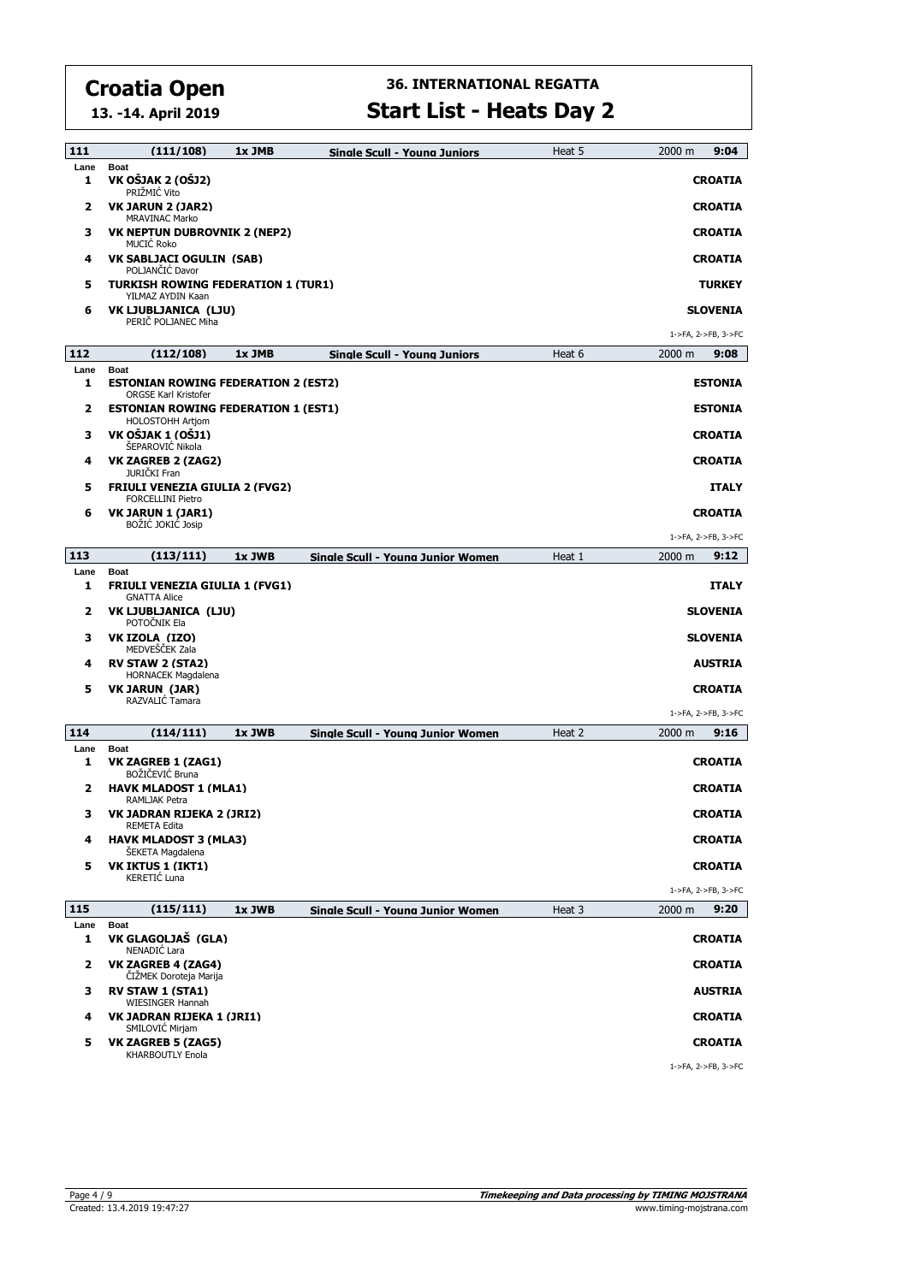**13. -14. April 2019**

| 111         | (111/108)                                                                                | 1x JMB | Single Scull - Young Juniors      | Heat 5 | 2000 m<br>9:04      |
|-------------|------------------------------------------------------------------------------------------|--------|-----------------------------------|--------|---------------------|
| Lane<br>1   | <b>Boat</b><br>VK OŠJAK 2 (OŠJ2)<br>PRIŽMIĆ Vito                                         |        |                                   |        | <b>CROATIA</b>      |
| 2           | VK JARUN 2 (JAR2)<br><b>MRAVINAC Marko</b>                                               |        |                                   |        | <b>CROATIA</b>      |
| з           | <b>VK NEPTUN DUBROVNIK 2 (NEP2)</b><br><b>MUCIĆ Roko</b>                                 |        |                                   |        | <b>CROATIA</b>      |
| 4           | <b>VK SABLJACI OGULIN (SAB)</b><br>POLJANČIĆ Davor                                       |        |                                   |        | <b>CROATIA</b>      |
| 5           | <b>TURKISH ROWING FEDERATION 1 (TUR1)</b><br>YILMAZ AYDIN Kaan                           |        |                                   |        | <b>TURKEY</b>       |
| 6           | VK LJUBLJANICA (LJU)<br>PERIC POLJANEC Miha                                              |        |                                   |        | <b>SLOVENIA</b>     |
|             |                                                                                          |        |                                   |        | 1->FA, 2->FB, 3->FC |
| 112         | (112/108)                                                                                | 1x JMB | Sinale Scull - Youna Juniors      | Heat 6 | 2000 m<br>9:08      |
| Lane<br>1   | <b>Boat</b><br><b>ESTONIAN ROWING FEDERATION 2 (EST2)</b><br><b>ORGSE Karl Kristofer</b> |        |                                   |        | <b>ESTONIA</b>      |
| 2           | <b>ESTONIAN ROWING FEDERATION 1 (EST1)</b><br><b>HOLOSTOHH Artjom</b>                    |        |                                   |        | <b>ESTONIA</b>      |
| з           | VK OŠJAK 1 (OŠJ1)<br>ŠEPAROVIĆ Nikola                                                    |        |                                   |        | <b>CROATIA</b>      |
| 4           | <b>VK ZAGREB 2 (ZAG2)</b><br>JURIČKI Fran                                                |        |                                   |        | <b>CROATIA</b>      |
| 5           | <b>FRIULI VENEZIA GIULIA 2 (FVG2)</b><br><b>FORCELLINI Pietro</b>                        |        |                                   |        | <b>ITALY</b>        |
| 6           | VK JARUN 1 (JAR1)<br>BOŽIĆ JOKIĆ Josip                                                   |        |                                   |        | <b>CROATIA</b>      |
|             |                                                                                          |        |                                   |        | 1->FA, 2->FB, 3->FC |
| 113         | (113/111)                                                                                | 1x JWB | Sinale Scull - Youna Junior Women | Heat 1 | 9:12<br>2000 m      |
| Lane<br>1   | <b>Boat</b><br><b>FRIULI VENEZIA GIULIA 1 (FVG1)</b><br><b>GNATTA Alice</b>              |        |                                   |        | <b>ITALY</b>        |
| 2           | VK LJUBLJANICA (LJU)<br>POTOČNIK Ela                                                     |        |                                   |        | <b>SLOVENIA</b>     |
| з           | VK IZOLA (IZO)<br>MEDVEŠČEK Zala                                                         |        |                                   |        | <b>SLOVENIA</b>     |
| 4           | <b>RV STAW 2 (STA2)</b><br>HORNACEK Magdalena                                            |        |                                   |        | <b>AUSTRIA</b>      |
| 5           | <b>VK JARUN (JAR)</b><br>RAZVALIĆ Tamara                                                 |        |                                   |        | <b>CROATIA</b>      |
|             |                                                                                          |        |                                   |        | 1->FA, 2->FB, 3->FC |
| 114         | (114/111)                                                                                | 1x JWB | Sinale Scull - Youna Junior Women | Heat 2 | 2000 m<br>9:16      |
| Lane<br>1   | Boat<br><b>VK ZAGREB 1 (ZAG1)</b><br>BOŽIČEVIĆ Bruna                                     |        |                                   |        | <b>CROATIA</b>      |
| 2           | <b>HAVK MLADOST 1 (MLA1)</b><br>RAMLJAK Petra                                            |        |                                   |        | <b>CROATIA</b>      |
| з           | VK JADRAN RIJEKA 2 (JRI2)<br>REMETA Edita                                                |        |                                   |        | <b>CROATIA</b>      |
| 4           | <b>HAVK MLADOST 3 (MLA3)</b><br>SEKETA Magdalena                                         |        |                                   |        | <b>CROATIA</b>      |
| 5           | <b>VK IKTUS 1 (IKT1)</b><br>KERETIĆ Luna                                                 |        |                                   |        | <b>CROATIA</b>      |
|             |                                                                                          |        |                                   |        | 1->FA, 2->FB, 3->FC |
| 115<br>Lane | (115/111)<br><b>Boat</b>                                                                 | 1x JWB | Sinale Scull - Youna Junior Women | Heat 3 | 2000 m<br>9:20      |
| 1           | VK GLAGOLJAŠ (GLA)<br>NENADIĆ Lara                                                       |        |                                   |        | <b>CROATIA</b>      |
| 2           | <b>VK ZAGREB 4 (ZAG4)</b><br>ČIŽMEK Doroteja Marija                                      |        |                                   |        | <b>CROATIA</b>      |
| з           | <b>RV STAW 1 (STA1)</b><br>WIESINGER Hannah                                              |        |                                   |        | <b>AUSTRIA</b>      |
| 4           | VK JADRAN RIJEKA 1 (JRI1)<br>SMILOVIC Mirjam                                             |        |                                   |        | <b>CROATIA</b>      |
| 5           | <b>VK ZAGREB 5 (ZAG5)</b><br>KHARBOUTLY Enola                                            |        |                                   |        | <b>CROATIA</b>      |
|             |                                                                                          |        |                                   |        | 1->FA, 2->FB, 3->FC |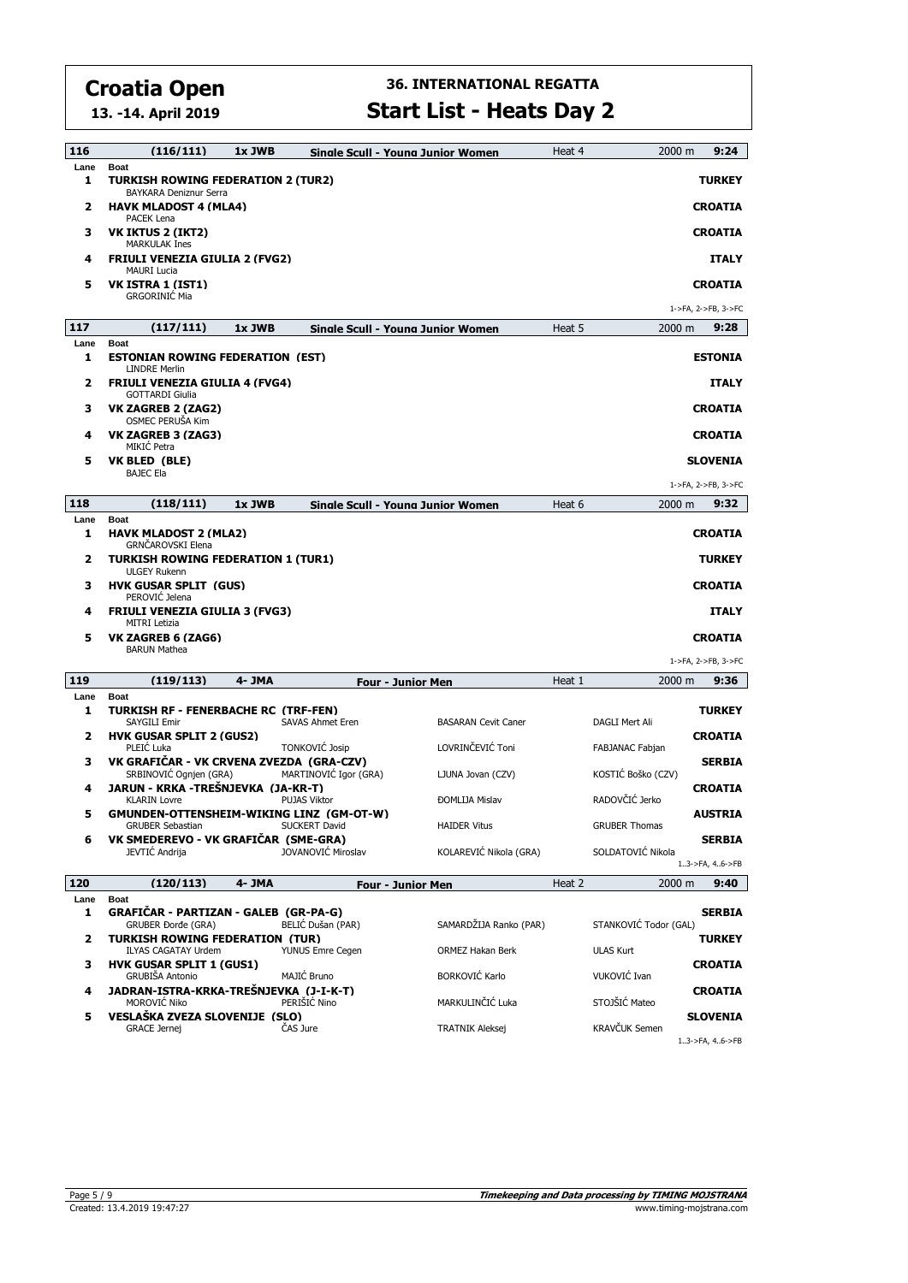**13. -14. April 2019**

| 116       | (116/111)                                                                          | 1x JWB |                         | Sinale Scull - Youna Junior Women | Heat 4 | 2000 m                | 9:24                            |
|-----------|------------------------------------------------------------------------------------|--------|-------------------------|-----------------------------------|--------|-----------------------|---------------------------------|
| Lane<br>1 | <b>Boat</b><br><b>TURKISH ROWING FEDERATION 2 (TUR2)</b><br>BAYKARA Deniznur Serra |        |                         |                                   |        |                       | <b>TURKEY</b>                   |
| 2         | HAVK MLADOST 4 (MLA4)                                                              |        |                         |                                   |        |                       | <b>CROATIA</b>                  |
| з         | PACEK Lena<br><b>VK IKTUS 2 (IKT2)</b>                                             |        |                         |                                   |        |                       | <b>CROATIA</b>                  |
| 4         | <b>MARKULAK Ines</b><br>FRIULI VENEZIA GIULIA 2 (FVG2)                             |        |                         |                                   |        |                       | <b>ITALY</b>                    |
| 5         | <b>MAURI Lucia</b><br><b>VK ISTRA 1 (IST1)</b>                                     |        |                         |                                   |        |                       | <b>CROATIA</b>                  |
|           | <b>GRGORINIC Mia</b>                                                               |        |                         |                                   |        |                       | 1->FA, 2->FB, 3->FC             |
| 117       | (117/111)                                                                          | 1x JWB |                         | Sinale Scull - Youna Junior Women | Heat 5 | $2000 \text{ m}$      | 9:28                            |
| Lane<br>1 | <b>Boat</b><br><b>ESTONIAN ROWING FEDERATION (EST)</b>                             |        |                         |                                   |        |                       | <b>ESTONIA</b>                  |
| 2         | <b>LINDRE Merlin</b><br>FRIULI VENEZIA GIULIA 4 (FVG4)                             |        |                         |                                   |        |                       | <b>ITALY</b>                    |
| з         | <b>GOTTARDI Giulia</b><br>VK ZAGREB 2 (ZAG2)                                       |        |                         |                                   |        |                       | <b>CROATIA</b>                  |
| 4         | OSMEC PERUŠA Kim<br><b>VK ZAGREB 3 (ZAG3)</b>                                      |        |                         |                                   |        |                       | <b>CROATIA</b>                  |
| 5         | MIKIĆ Petra<br>VK BLED (BLE)                                                       |        |                         |                                   |        |                       | <b>SLOVENIA</b>                 |
|           | <b>BAJEC Ela</b>                                                                   |        |                         |                                   |        |                       | 1->FA, 2->FB, 3->FC             |
| 118       | (118/111)                                                                          | 1x JWB |                         | Single Scull - Young Junior Women | Heat 6 | 2000 m                | 9:32                            |
| Lane      | <b>Boat</b>                                                                        |        |                         |                                   |        |                       |                                 |
| 1         | <b>HAVK MLADOST 2 (MLA2)</b><br><b>GRNČAROVSKI Elena</b>                           |        |                         |                                   |        |                       | <b>CROATIA</b>                  |
| 2         | <b>TURKISH ROWING FEDERATION 1 (TUR1)</b><br><b>ULGEY Rukenn</b>                   |        |                         |                                   |        |                       | <b>TURKEY</b>                   |
| з         | <b>HVK GUSAR SPLIT (GUS)</b><br>PEROVIĆ Jelena                                     |        |                         |                                   |        |                       | <b>CROATIA</b>                  |
| 4         | FRIULI VENEZIA GIULIA 3 (FVG3)<br><b>MITRI Letizia</b>                             |        |                         |                                   |        |                       | <b>ITALY</b>                    |
| 5         | VK ZAGREB 6 (ZAG6)<br><b>BARUN Mathea</b>                                          |        |                         |                                   |        |                       | <b>CROATIA</b>                  |
|           |                                                                                    |        |                         |                                   |        |                       | 1->FA, 2->FB, 3->FC             |
| 119       | (119/113)                                                                          | 4- JMA |                         | <b>Four - Junior Men</b>          | Heat 1 | 2000 m                | 9:36                            |
| Lane<br>1 | <b>Boat</b><br>TURKISH RF - FENERBACHE RC(TRF-FEN)                                 |        |                         |                                   |        |                       | <b>TURKEY</b>                   |
| 2         | <b>SAYGILI Emir</b><br><b>HVK GUSAR SPLIT 2 (GUS2)</b>                             |        | <b>SAVAS Ahmet Eren</b> | <b>BASARAN Cevit Caner</b>        |        | DAGLI Mert Ali        | <b>CROATIA</b>                  |
| 3         | PLEIĆ Luka<br>VK GRAFIČAR - VK CRVENA ZVEZDA (GRA-CZV)                             |        | <b>TONKOVIĆ Josip</b>   | LOVRINČEVIĆ Toni                  |        | FABJANAC Fabjan       | <b>SERBIA</b>                   |
| 4         | SRBINOVIĆ Ognjen (GRA)<br>JARUN - KRKA -TREŠNJEVKA (JA-KR-T)                       |        | MARTINOVIC Igor (GRA)   | LJUNA Jovan (CZV)                 |        | KOSTIĆ Boško (CZV)    | <b>CROATIA</b>                  |
| 5         | <b>KLARIN Lovre</b><br>GMUNDEN-OTTENSHEIM-WIKING LINZ (GM-OT-W)                    |        | <b>PUJAS Viktor</b>     | <b>DOMLIJA Mislav</b>             |        | RADOVČIĆ Jerko        | <b>AUSTRIA</b>                  |
|           | <b>GRUBER Sebastian</b>                                                            |        | SUCKERT David           | <b>HAIDER Vitus</b>               |        | <b>GRUBER Thomas</b>  |                                 |
| 6         | VK SMEDEREVO - VK GRAFIČAR (SME-GRA)<br>JEVTIĆ Andrija                             |        | JOVANOVIĆ Miroslav      | KOLAREVIĆ Nikola (GRA)            |        | SOLDATOVIĆ Nikola     | <b>SERBIA</b><br>13->FA, 46->FB |
| 120       | (120/113)                                                                          | 4- JMA |                         |                                   | Heat 2 | 2000 m                | 9:40                            |
| Lane      | <b>Boat</b>                                                                        |        |                         | <b>Four - Junior Men</b>          |        |                       |                                 |
| 1         | GRAFIČAR - PARTIZAN - GALEB (GR-PA-G)<br><b>GRUBER Đorđe (GRA)</b>                 |        | BELIĆ Dušan (PAR)       | SAMARDŽIJA Ranko (PAR)            |        | STANKOVIĆ Todor (GAL) | <b>SERBIA</b>                   |
| 2         | <b>TURKISH ROWING FEDERATION (TUR)</b>                                             |        |                         |                                   |        |                       | <b>TURKEY</b>                   |
| з         | <b>ILYAS CAGATAY Urdem</b><br><b>HVK GUSAR SPLIT 1 (GUS1)</b>                      |        | YUNUS Emre Cegen        | ORMEZ Hakan Berk                  |        | <b>ULAS Kurt</b>      | <b>CROATIA</b>                  |
| 4         | <b>GRUBIŠA Antonio</b><br>JADRAN-ISTRA-KRKA-TREŠNJEVKA (J-I-K-T)                   |        | MAJIĆ Bruno             | BORKOVIĆ Karlo                    |        | VUKOVIĆ Ivan          | <b>CROATIA</b>                  |
| 5         | MOROVIĆ Niko<br>VESLAŠKA ZVEZA SLOVENIJE (SLO)                                     |        | PERIŠIĆ Nino            | MARKULINČIĆ Luka                  |        | STOJŠIĆ Mateo         | <b>SLOVENIA</b>                 |
|           | <b>GRACE Jernej</b>                                                                |        | ČAS Jure                | <b>TRATNIK Aleksej</b>            |        | <b>KRAVČUK Semen</b>  | 13->FA, 46->FB                  |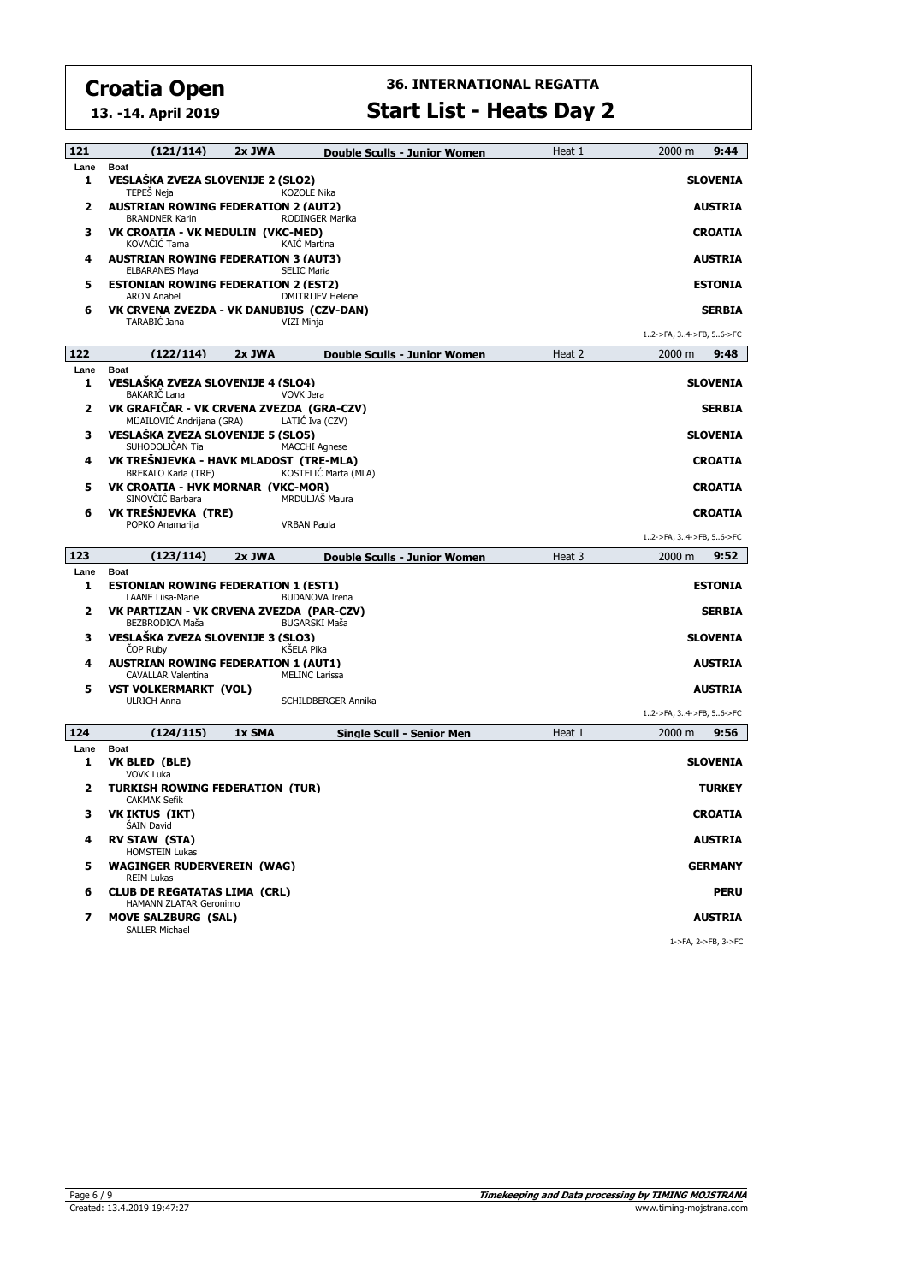**13. -14. April 2019**

| 121          | (121/114)                                                               | 2x JWA | Double Sculls - Junior Women       | Heat 1 | 2000 m<br>9:44                 |
|--------------|-------------------------------------------------------------------------|--------|------------------------------------|--------|--------------------------------|
| Lane<br>1    | <b>Boat</b><br>VESLAŠKA ZVEZA SLOVENIJE 2 (SLO2)<br>TEPEŠ Neja          |        | <b>KOZOLE Nika</b>                 |        | <b>SLOVENIA</b>                |
| 2            | <b>AUSTRIAN ROWING FEDERATION 2 (AUT2)</b><br><b>BRANDNER Karin</b>     |        | <b>RODINGER Marika</b>             |        | <b>AUSTRIA</b>                 |
| з            | VK CROATIA - VK MEDULIN (VKC-MED)<br>KOVAČIĆ Tama                       |        | <b>KAIC Martina</b>                |        | <b>CROATIA</b>                 |
| 4            | <b>AUSTRIAN ROWING FEDERATION 3 (AUT3)</b><br><b>ELBARANES Maya</b>     |        | <b>SELIC Maria</b>                 |        | <b>AUSTRIA</b>                 |
| 5            | <b>ESTONIAN ROWING FEDERATION 2 (EST2)</b><br><b>ARON Anabel</b>        |        | <b>DMITRIJEV Helene</b>            |        | <b>ESTONIA</b>                 |
| 6            | VK CRVENA ZVEZDA - VK DANUBIUS (CZV-DAN)<br>TARABIĆ Jana                |        | VIZI Minja                         |        | <b>SERBIA</b>                  |
|              |                                                                         |        |                                    |        | 12->FA, 34->FB, 56->FC         |
| 122          | (122/114)                                                               | 2x JWA | Double Sculls - Junior Women       | Heat 2 | 2000 m<br>9:48                 |
| Lane<br>1    | <b>Boat</b><br>VESLAŠKA ZVEZA SLOVENIJE 4 (SLO4)<br><b>BAKARIČ Lana</b> |        | <b>VOVK Jera</b>                   |        | SLOVENIA                       |
| $\mathbf{z}$ | VK GRAFIČAR - VK CRVENA ZVEZDA (GRA-CZV)<br>MIJAILOVIĆ Andrijana (GRA)  |        | LATIC Iva (CZV)                    |        | <b>SERBIA</b>                  |
| з            | VESLAŠKA ZVEZA SLOVENIJE 5 (SLO5)<br>SUHODOLJČAN Tia                    |        | <b>MACCHI Agnese</b>               |        | <b>SLOVENIA</b>                |
| 4            | VK TREŠNJEVKA - HAVK MLADOST (TRE-MLA)<br><b>BREKALO Karla (TRE)</b>    |        | KOSTELIĆ Marta (MLA)               |        | <b>CROATIA</b>                 |
| 5            | VK CROATIA - HVK MORNAR (VKC-MOR)<br>SINOVČIĆ Barbara                   |        | MRDULJAŠ Maura                     |        | <b>CROATIA</b>                 |
| 6            | VK TREŠNJEVKA (TRE)<br>POPKO Anamarija                                  |        | <b>VRBAN Paula</b>                 |        | <b>CROATIA</b>                 |
|              |                                                                         |        |                                    |        | 12->FA, 34->FB, 56->FC         |
|              |                                                                         |        |                                    |        |                                |
| 123          | (123/114)                                                               | 2x JWA | Double Sculls - Junior Women       | Heat 3 | 9:52<br>2000 m                 |
| Lane<br>1    | <b>Boat</b><br><b>ESTONIAN ROWING FEDERATION 1 (EST1)</b>               |        |                                    |        | <b>ESTONIA</b>                 |
| $\mathbf{z}$ | <b>LAANE Liisa-Marie</b><br>VK PARTIZAN - VK CRVENA ZVEZDA (PAR-CZV)    |        | <b>BUDANOVA Irena</b>              |        | <b>SERBIA</b>                  |
| з            | BEZBRODICA Maša<br>VESLAŠKA ZVEZA SLOVENIJE 3 (SLO3)<br><b>COP Ruby</b> |        | <b>BUGARSKI Maša</b><br>KŠELA Pika |        | <b>SLOVENIA</b>                |
| 4            | <b>AUSTRIAN ROWING FEDERATION 1 (AUT1)</b><br>CAVALLAR Valentina        |        | <b>MELINC Larissa</b>              |        | <b>AUSTRIA</b>                 |
| 5            | <b>VST VOLKERMARKT (VOL)</b><br><b>ULRICH Anna</b>                      |        | SCHILDBERGER Annika                |        | <b>AUSTRIA</b>                 |
|              |                                                                         |        |                                    |        | 12->FA, 34->FB, 56->FC         |
| 124          | (124/115)                                                               | 1x SMA | <b>Single Scull - Senior Men</b>   | Heat 1 | 2000 m<br>9:56                 |
| Lane         | <b>Boat</b>                                                             |        |                                    |        |                                |
| 1            | VK BLED (BLE)<br><b>VOVK Luka</b>                                       |        |                                    |        | SLOVENIA                       |
| 2            | TURKISH ROWING FEDERATION (TUR)<br><b>CAKMAK Sefik</b>                  |        |                                    |        | <b>TURKEY</b>                  |
| з            | <b>VK IKTUS (IKT)</b><br><b>SAIN David</b>                              |        |                                    |        | <b>CROATIA</b>                 |
| 4            | <b>RV STAW (STA)</b><br><b>HOMSTEIN Lukas</b>                           |        |                                    |        | AUSTRIA                        |
| 5            | <b>WAGINGER RUDERVEREIN (WAG)</b><br><b>REIM Lukas</b>                  |        |                                    |        | <b>GERMANY</b>                 |
| 6            | <b>CLUB DE REGATATAS LIMA (CRL)</b><br>HAMANN ZLATAR Geronimo           |        |                                    |        | <b>PERU</b>                    |
| 7            | <b>MOVE SALZBURG (SAL)</b><br><b>SALLER Michael</b>                     |        |                                    |        | AUSTRIA<br>1->FA, 2->FB, 3->FC |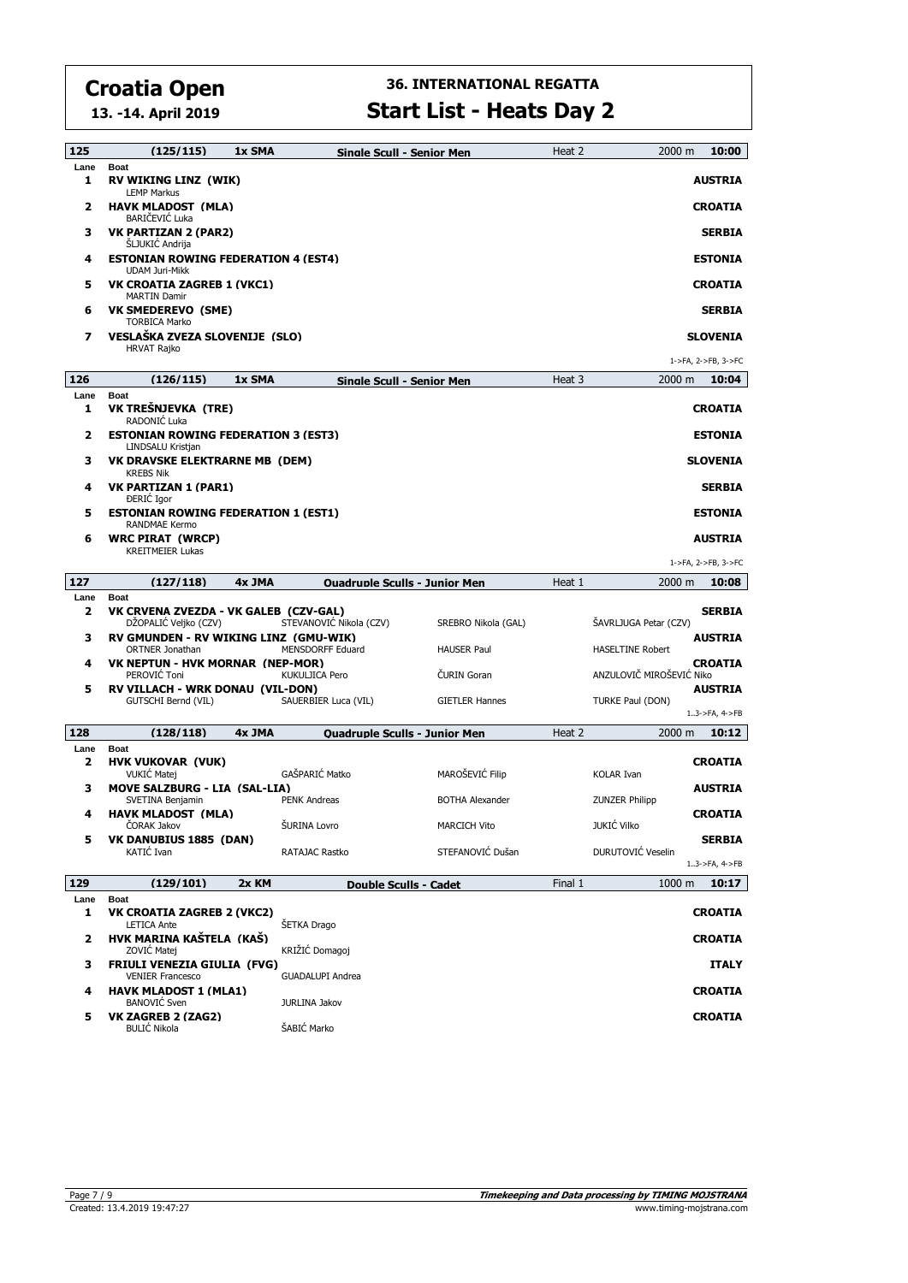**13. -14. April 2019**

| 125                  | (125/115)<br>1x SMA                                                            |                                                 | Single Scull - Senior Men            | Heat 2  | 10:00<br>2000 m                            |
|----------------------|--------------------------------------------------------------------------------|-------------------------------------------------|--------------------------------------|---------|--------------------------------------------|
| Lane<br>1            | <b>Boat</b><br><b>RV WIKING LINZ (WIK)</b>                                     |                                                 |                                      |         | <b>AUSTRIA</b>                             |
| 2                    | <b>LEMP Markus</b><br><b>HAVK MLADOST (MLA)</b><br>BARIČEVIĆ Luka              |                                                 |                                      |         | <b>CROATIA</b>                             |
| з                    | <b>VK PARTIZAN 2 (PAR2)</b><br><b>SLJUKIC Andrija</b>                          |                                                 |                                      |         | <b>SERBIA</b>                              |
| 4                    | <b>ESTONIAN ROWING FEDERATION 4 (EST4)</b><br><b>UDAM Juri-Mikk</b>            |                                                 |                                      |         | <b>ESTONIA</b>                             |
| 5                    | VK CROATIA ZAGREB 1 (VKC1)<br><b>MARTIN Damir</b>                              |                                                 |                                      |         | <b>CROATIA</b>                             |
| 6                    | <b>VK SMEDEREVO (SME)</b><br><b>TORBICA Marko</b>                              |                                                 |                                      |         | <b>SERBIA</b>                              |
| 7                    | VESLAŠKA ZVEZA SLOVENIJE (SLO)<br><b>HRVAT Rajko</b>                           |                                                 |                                      |         | <b>SLOVENIA</b>                            |
|                      |                                                                                |                                                 |                                      |         | 1->FA, 2->FB, 3->FC                        |
| 126                  | (126/115)<br>1x SMA                                                            |                                                 | <b>Single Scull - Senior Men</b>     | Heat 3  | 2000 m<br>10:04                            |
| Lane<br>1            | <b>Boat</b><br>VK TREŠNJEVKA (TRE)<br>RADONIĆ Luka                             |                                                 |                                      |         | <b>CROATIA</b>                             |
| 2                    | <b>ESTONIAN ROWING FEDERATION 3 (EST3)</b><br>LINDSALU Kristjan                |                                                 |                                      |         | <b>ESTONIA</b>                             |
| з                    | <b>VK DRAVSKE ELEKTRARNE MB (DEM)</b><br><b>KREBS Nik</b>                      |                                                 |                                      |         | <b>SLOVENIA</b>                            |
| 4                    | VK PARTIZAN 1 (PAR1)<br><b>DERIC</b> Igor                                      |                                                 |                                      |         | <b>SERBIA</b>                              |
| 5                    | <b>ESTONIAN ROWING FEDERATION 1 (EST1)</b><br>RANDMAE Kermo                    |                                                 |                                      |         | <b>ESTONIA</b>                             |
| 6                    | <b>WRC PIRAT (WRCP)</b><br><b>KREITMEIER Lukas</b>                             |                                                 |                                      |         | <b>AUSTRIA</b>                             |
|                      |                                                                                |                                                 |                                      |         | 1->FA, 2->FB, 3->FC                        |
| 127<br>Lane          | (127/118)<br>4x JMA<br><b>Boat</b>                                             |                                                 | <b>Ouadruple Sculls - Junior Men</b> | Heat 1  | 2000 m<br>10:08                            |
| 2                    | VK CRVENA ZVEZDA - VK GALEB (CZV-GAL)<br>DŽOPALIĆ Veljko (CZV)                 | STEVANOVIĆ Nikola (CZV)                         | SREBRO Nikola (GAL)                  |         | <b>SERBIA</b><br>SAVRLJUGA Petar (CZV)     |
| з                    | RV GMUNDEN - RV WIKING LINZ (GMU-WIK)<br>ORTNER Jonathan                       | <b>MENSDORFF Eduard</b>                         | <b>HAUSER Paul</b>                   |         | <b>AUSTRIA</b><br><b>HASELTINE Robert</b>  |
| 4                    | VK NEPTUN - HVK MORNAR (NEP-MOR)<br>PEROVIC Toni                               | <b>KUKULJICA Pero</b>                           | ČURIN Goran                          |         | <b>CROATIA</b><br>ANZULOVIČ MIROŠEVIĆ Niko |
| 5                    | <b>RV VILLACH - WRK DONAU (VIL-DON)</b><br>GUTSCHI Bernd (VIL)                 | SAUERBIER Luca (VIL)                            | <b>GIETLER Hannes</b>                |         | <b>AUSTRIA</b><br>TURKE Paul (DON)         |
|                      |                                                                                |                                                 |                                      |         | $13$ ->FA, $4$ ->FB                        |
| 128                  | (128/118)<br>4x JMA                                                            |                                                 | <b>Ouadruple Sculls - Junior Men</b> | Heat 2  | 2000 m<br>10:12                            |
| Lane<br>$\mathbf{z}$ | <b>Boat</b><br><b>HVK VUKOVAR (VUK)</b><br><b>VUKIC Matej</b>                  | GAŠPARIĆ Matko                                  | MAROŠEVIĆ Filip                      |         | <b>CROATIA</b><br><b>KOLAR Ivan</b>        |
| з                    | MOVE SALZBURG - LIA (SAL-LIA)<br>SVETINA Benjamin                              | <b>PENK Andreas</b>                             | <b>BOTHA Alexander</b>               |         | <b>AUSTRIA</b><br><b>ZUNZER Philipp</b>    |
| 4                    | <b>HAVK MLADOST (MLA)</b><br>CORAK Jakov                                       | ŠURINA Lovro                                    | <b>MARCICH Vito</b>                  |         | <b>CROATIA</b><br>JUKIĆ Vilko              |
| 5                    | VK DANUBIUS 1885 (DAN)<br>KATIĆ Ivan                                           | RATAJAC Rastko                                  | STEFANOVIĆ Dušan                     |         | <b>SERBIA</b><br>DURUTOVIĆ Veselin         |
|                      |                                                                                |                                                 |                                      |         | $13$ ->FA, $4$ ->FB                        |
| 129                  | (129/101)<br>2x KM                                                             |                                                 | Double Sculls - Cadet                | Final 1 | 10:17<br>$1000 \text{ m}$                  |
| Lane<br>1            | <b>Boat</b><br><b>VK CROATIA ZAGREB 2 (VKC2)</b>                               |                                                 |                                      |         | <b>CROATIA</b>                             |
|                      |                                                                                |                                                 |                                      |         |                                            |
| 2                    | <b>LETICA Ante</b><br>HVK MARINA KAŠTELA (KAŠ)                                 | ŠETKA Drago                                     |                                      |         | <b>CROATIA</b>                             |
| з                    | ZOVIĆ Matej<br><b>FRIULI VENEZIA GIULIA (FVG)</b>                              | KRIŽIĆ Domagoj                                  |                                      |         | <b>ITALY</b>                               |
| 4                    | <b>VENIER Francesco</b><br><b>HAVK MLADOST 1 (MLA1)</b><br><b>BANOVIĆ</b> Sven | <b>GUADALUPI Andrea</b><br><b>JURLINA Jakov</b> |                                      |         | <b>CROATIA</b>                             |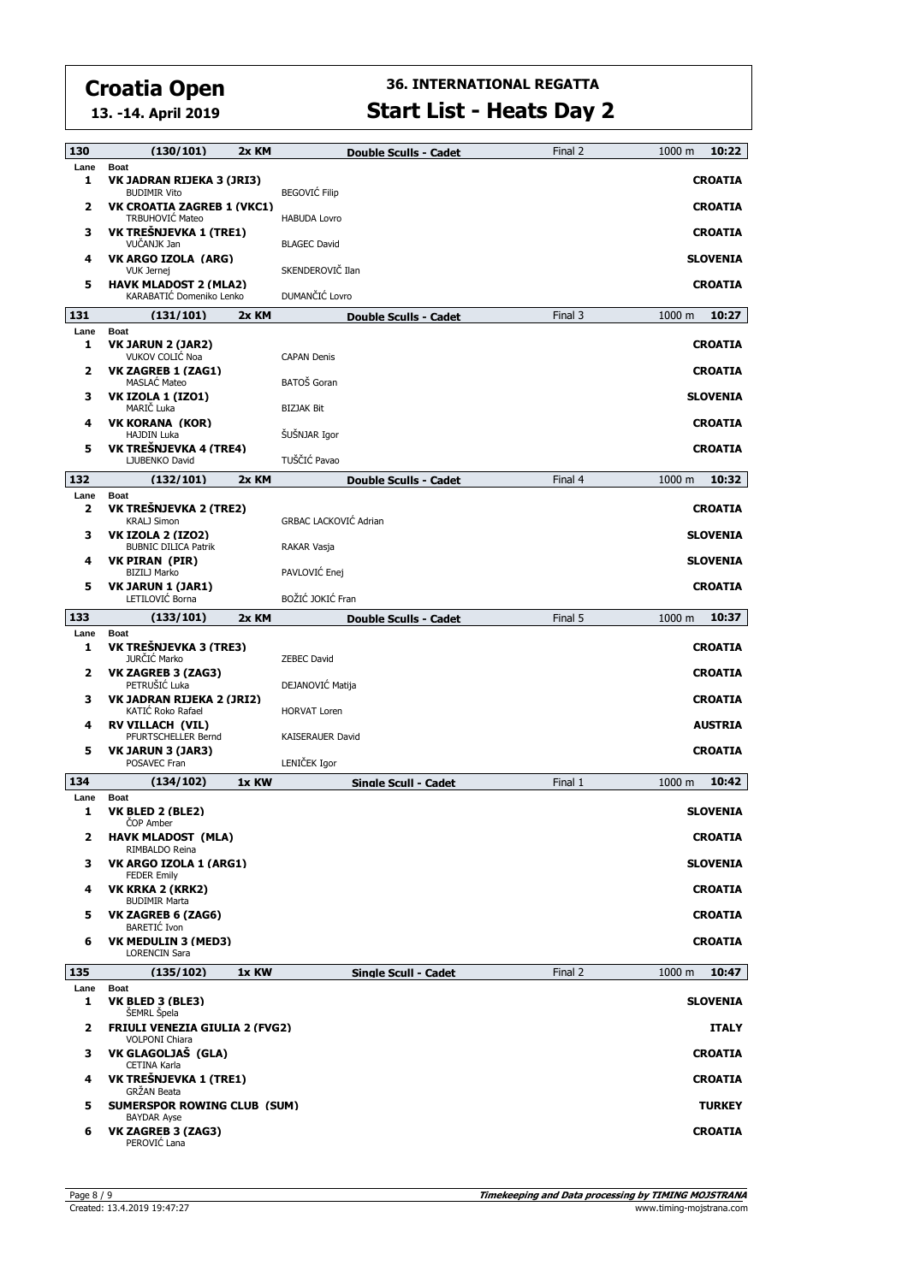**13. -14. April 2019**

| 130       | (130/101)                                                       | 2x KM | Double Sculls - Cadet                  | Final 2 | 1000 m          | 10:22         |
|-----------|-----------------------------------------------------------------|-------|----------------------------------------|---------|-----------------|---------------|
| Lane<br>1 | <b>Boat</b><br>VK JADRAN RIJEKA 3 (JRI3)<br><b>BUDIMIR Vito</b> |       | <b>BEGOVIĆ Filip</b>                   |         | <b>CROATIA</b>  |               |
| 2         | <b>VK CROATIA ZAGREB 1 (VKC1)</b><br>TRBUHOVIĆ Mateo            |       | <b>HABUDA Lovro</b>                    |         | <b>CROATIA</b>  |               |
| з         | VK TREŠNJEVKA 1 (TRE1)<br>VUČANJK Jan                           |       | <b>BLAGEC David</b>                    |         | <b>CROATIA</b>  |               |
| 4         | VK ARGO IZOLA (ARG)<br><b>VUK Jernej</b>                        |       | SKENDEROVIČ Ilan                       |         | <b>SLOVENIA</b> |               |
| 5         | <b>HAVK MLADOST 2 (MLA2)</b><br>KARABATIĆ Domeniko Lenko        |       | DUMANČIĆ Lovro                         |         | <b>CROATIA</b>  |               |
| 131       | (131/101)                                                       | 2x KM | Double Sculls - Cadet                  | Final 3 | 1000 m          | 10:27         |
| Lane<br>1 | <b>Boat</b><br>VK JARUN 2 (JAR2)<br>VUKOV COLIĆ Noa             |       | <b>CAPAN Denis</b>                     |         | <b>CROATIA</b>  |               |
| 2         | <b>VK ZAGREB 1 (ZAG1)</b><br><b>MASLAC Mateo</b>                |       | BATOŠ Goran                            |         | <b>CROATIA</b>  |               |
| з         | VK IZOLA 1 (IZO1)<br>MARIČ Luka                                 |       | <b>BIZJAK Bit</b>                      |         | <b>SLOVENIA</b> |               |
| 4         | VK KORANA (KOR)<br><b>HAJDIN Luka</b>                           |       | ŠUŠNJAR Igor                           |         | <b>CROATIA</b>  |               |
| 5         | VK TREŠNJEVKA 4 (TRE4)<br>LJUBENKO David                        |       | TUŠČIĆ Pavao                           |         | <b>CROATIA</b>  |               |
| 132       | (132/101)                                                       | 2x KM | Double Sculls - Cadet                  | Final 4 | 1000 m          | 10:32         |
| Lane<br>2 | <b>Boat</b><br>VK TREŠNJEVKA 2 (TRE2)<br>KRALJ Simon            |       | <b>GRBAC LACKOVIĆ Adrian</b>           |         | <b>CROATIA</b>  |               |
| з         | <b>VK IZOLA 2 (IZO2)</b><br><b>BUBNIC DILICA Patrik</b>         |       | RAKAR Vasja                            |         | <b>SLOVENIA</b> |               |
| 4         | <b>VK PIRAN (PIR)</b><br><b>BIZILJ Marko</b>                    |       | PAVLOVIĆ Enej                          |         | <b>SLOVENIA</b> |               |
| 5         | <b>VK JARUN 1 (JAR1)</b><br>LETILOVIĆ Borna                     |       | BOŽIĆ JOKIĆ Fran                       |         | <b>CROATIA</b>  |               |
| 133       | (133/101)                                                       | 2x KM | Double Sculls - Cadet                  | Final 5 | 1000 m          | 10:37         |
| Lane<br>1 | Boat<br>VK TREŠNJEVKA 3 (TRE3)                                  |       |                                        |         | <b>CROATIA</b>  |               |
| 2         | JURČIĆ Marko<br>VK ZAGREB 3 (ZAG3)<br>PETRUŠIĆ Luka             |       | <b>ZEBEC David</b><br>DEJANOVIĆ Matija |         | <b>CROATIA</b>  |               |
| з         | VK JADRAN RIJEKA 2 (JRI2)<br>KATIĆ Roko Rafael                  |       | <b>HORVAT Loren</b>                    |         | <b>CROATIA</b>  |               |
| 4         | <b>RV VILLACH (VIL)</b>                                         |       |                                        |         | <b>AUSTRIA</b>  |               |
| 5         | PFURTSCHELLER Bernd<br><b>VK JARUN 3 (JAR3)</b><br>POSAVEC Fran |       | KAISERAUER David<br>LENIČEK Igor       |         | <b>CROATIA</b>  |               |
| 134       | (134/102)                                                       | 1x KW | Single Scull - Cadet                   | Final 1 | 1000 m          | 10:42         |
| Lane<br>1 | <b>Boat</b><br>VK BLED 2 (BLE2)                                 |       |                                        |         | <b>SLOVENIA</b> |               |
| 2         | <b>COP Amber</b><br><b>HAVK MLADOST (MLA)</b><br>RIMBALDO Reina |       |                                        |         | <b>CROATIA</b>  |               |
| з         | VK ARGO IZOLA 1 (ARG1)<br><b>FEDER Emily</b>                    |       |                                        |         | <b>SLOVENIA</b> |               |
| 4         |                                                                 |       |                                        |         |                 |               |
| 5         | VK KRKA 2 (KRK2)<br><b>BUDIMIR Marta</b>                        |       |                                        |         | <b>CROATIA</b>  |               |
|           | VK ZAGREB 6 (ZAG6)<br><b>BARETIC Ivon</b>                       |       |                                        |         | <b>CROATIA</b>  |               |
| 6         | VK MEDULIN 3 (MED3)<br><b>LORENCIN Sara</b>                     |       |                                        |         | <b>CROATIA</b>  |               |
| 135       | (135/102)                                                       | 1x KW | Single Scull - Cadet                   | Final 2 | 1000 m          | 10:47         |
| Lane<br>1 | Boat<br>VK BLED 3 (BLE3)                                        |       |                                        |         | <b>SLOVENIA</b> |               |
| 2         | ŠEMRL Špela<br><b>FRIULI VENEZIA GIULIA 2 (FVG2)</b>            |       |                                        |         |                 | <b>ITALY</b>  |
| з         | <b>VOLPONI Chiara</b><br>VK GLAGOLJAŠ (GLA)<br>CETINA Karla     |       |                                        |         | <b>CROATIA</b>  |               |
| 4         | VK TREŠNJEVKA 1 (TRE1)<br><b>GRŽAN Beata</b>                    |       |                                        |         | <b>CROATIA</b>  |               |
| 5         | <b>SUMERSPOR ROWING CLUB (SUM)</b><br><b>BAYDAR Ayse</b>        |       |                                        |         |                 | <b>TURKEY</b> |